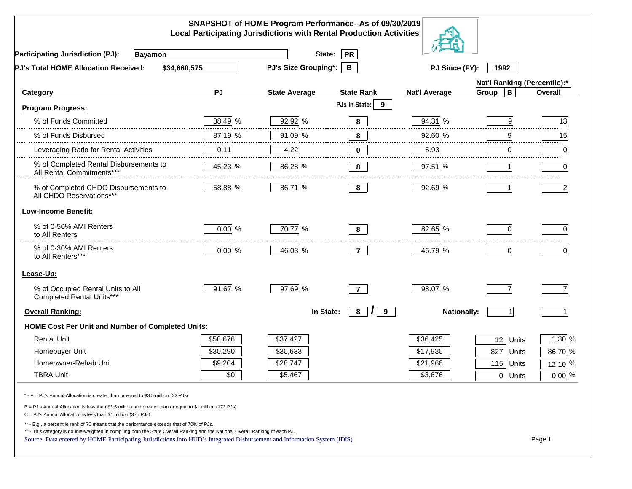|                                                                                                                                                                                                                                                                                                                                                          |          | SNAPSHOT of HOME Program Performance--As of 09/30/2019<br><b>Local Participating Jurisdictions with Rental Production Activities</b> |                    |                      |                              |                |
|----------------------------------------------------------------------------------------------------------------------------------------------------------------------------------------------------------------------------------------------------------------------------------------------------------------------------------------------------------|----------|--------------------------------------------------------------------------------------------------------------------------------------|--------------------|----------------------|------------------------------|----------------|
| <b>Participating Jurisdiction (PJ):</b><br><b>Bayamon</b>                                                                                                                                                                                                                                                                                                |          | State:                                                                                                                               | <b>PR</b>          |                      |                              |                |
| \$34,660,575<br>PJ's Total HOME Allocation Received:                                                                                                                                                                                                                                                                                                     |          | <b>PJ's Size Grouping*:</b>                                                                                                          | B                  | PJ Since (FY):       | 1992                         |                |
|                                                                                                                                                                                                                                                                                                                                                          |          |                                                                                                                                      |                    |                      | Nat'l Ranking (Percentile):* |                |
| Category                                                                                                                                                                                                                                                                                                                                                 | PJ       | <b>State Average</b>                                                                                                                 | <b>State Rank</b>  | <b>Nat'l Average</b> | $\, {\bf B}$<br>Group        | <b>Overall</b> |
| <b>Program Progress:</b>                                                                                                                                                                                                                                                                                                                                 |          |                                                                                                                                      | PJs in State:<br>9 |                      |                              |                |
| % of Funds Committed                                                                                                                                                                                                                                                                                                                                     | 88.49 %  | 92.92 %                                                                                                                              | 8                  | 94.31 %              | 9                            | 13             |
| % of Funds Disbursed                                                                                                                                                                                                                                                                                                                                     | 87.19 %  | 91.09 %                                                                                                                              | 8                  | 92.60 %              | 9                            | 15             |
| Leveraging Ratio for Rental Activities                                                                                                                                                                                                                                                                                                                   | 0.11     | 4.22                                                                                                                                 | 0                  | 5.93                 | 0                            | 0              |
| % of Completed Rental Disbursements to<br>All Rental Commitments***                                                                                                                                                                                                                                                                                      | 45.23 %  | 86.28 %                                                                                                                              | 8                  | 97.51%               |                              | $\overline{0}$ |
| % of Completed CHDO Disbursements to<br>All CHDO Reservations***                                                                                                                                                                                                                                                                                         | 58.88 %  | 86.71 %                                                                                                                              | 8                  | 92.69 %              |                              | $\mathbf{2}$   |
| <b>Low-Income Benefit:</b>                                                                                                                                                                                                                                                                                                                               |          |                                                                                                                                      |                    |                      |                              |                |
| % of 0-50% AMI Renters<br>to All Renters                                                                                                                                                                                                                                                                                                                 | $0.00\%$ | 70.77 %                                                                                                                              | 8                  | 82.65 %              | $\Omega$                     | $\Omega$       |
| % of 0-30% AMI Renters<br>to All Renters***                                                                                                                                                                                                                                                                                                              | $0.00\%$ | 46.03 %                                                                                                                              | $\overline{7}$     | 46.79 %              | $\mathbf 0$                  | 0              |
| Lease-Up:                                                                                                                                                                                                                                                                                                                                                |          |                                                                                                                                      |                    |                      |                              |                |
| % of Occupied Rental Units to All<br>Completed Rental Units***                                                                                                                                                                                                                                                                                           | 91.67 %  | 97.69 %                                                                                                                              | $\overline{7}$     | 98.07 %              | $\overline{7}$               | $\overline{7}$ |
| <b>Overall Ranking:</b>                                                                                                                                                                                                                                                                                                                                  |          | In State:                                                                                                                            | 8<br>$\prime$<br>9 | <b>Nationally:</b>   |                              |                |
| <b>HOME Cost Per Unit and Number of Completed Units:</b>                                                                                                                                                                                                                                                                                                 |          |                                                                                                                                      |                    |                      |                              |                |
| <b>Rental Unit</b>                                                                                                                                                                                                                                                                                                                                       | \$58,676 | \$37,427                                                                                                                             |                    | \$36,425             | 12<br>Units                  | 1.30 %         |
| Homebuyer Unit                                                                                                                                                                                                                                                                                                                                           | \$30,290 | \$30,633                                                                                                                             |                    | \$17,930             | 827<br>Units                 | 86.70 %        |
| Homeowner-Rehab Unit                                                                                                                                                                                                                                                                                                                                     | \$9,204  | \$28,747                                                                                                                             |                    | \$21,966             | 115<br>Units                 | 12.10 %        |
| <b>TBRA Unit</b>                                                                                                                                                                                                                                                                                                                                         | \$0      | \$5,467                                                                                                                              |                    | \$3,676              | 0 Units                      | $0.00\%$       |
| * - A = PJ's Annual Allocation is greater than or equal to \$3.5 million (32 PJs)                                                                                                                                                                                                                                                                        |          |                                                                                                                                      |                    |                      |                              |                |
| B = PJ's Annual Allocation is less than \$3.5 million and greater than or equal to \$1 million (173 PJs)<br>$C = PJ's$ Annual Allocation is less than \$1 million (375 PJs)                                                                                                                                                                              |          |                                                                                                                                      |                    |                      |                              |                |
| ** - E.g., a percentile rank of 70 means that the performance exceeds that of 70% of PJs.<br>***- This category is double-weighted in compiling both the State Overall Ranking and the National Overall Ranking of each PJ.<br>Source: Data entered by HOME Participating Jurisdictions into HUD's Integrated Disbursement and Information System (IDIS) |          |                                                                                                                                      |                    |                      |                              | Page 1         |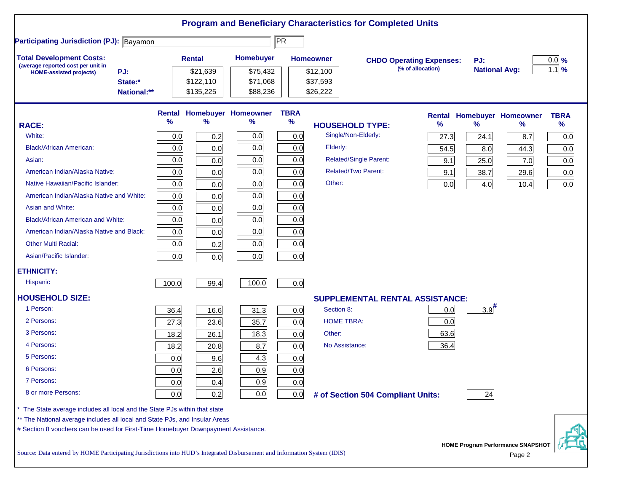| <b>Participating Jurisdiction (PJ): Bayamon</b>                                   |             |       |               |                            | PR          |                                        |                                 |                      |                                   |             |
|-----------------------------------------------------------------------------------|-------------|-------|---------------|----------------------------|-------------|----------------------------------------|---------------------------------|----------------------|-----------------------------------|-------------|
|                                                                                   |             |       |               |                            |             |                                        |                                 |                      |                                   |             |
| <b>Total Development Costs:</b><br>(average reported cost per unit in             |             |       | <b>Rental</b> | Homebuyer                  |             | <b>Homeowner</b>                       | <b>CHDO Operating Expenses:</b> | PJ:                  |                                   | $0.0\%$     |
| PJ:<br><b>HOME-assisted projects)</b>                                             |             |       | \$21,639      | \$75,432                   |             | \$12,100                               | (% of allocation)               | <b>National Avg:</b> |                                   | $1.1$ %     |
|                                                                                   | State:*     |       | \$122,110     | \$71,068                   |             | \$37,593                               |                                 |                      |                                   |             |
|                                                                                   | National:** |       | \$135,225     | \$88,236                   |             | \$26,222                               |                                 |                      |                                   |             |
|                                                                                   |             |       |               | Rental Homebuyer Homeowner | <b>TBRA</b> |                                        |                                 |                      | <b>Rental Homebuyer Homeowner</b> | <b>TBRA</b> |
| <b>RACE:</b>                                                                      |             | %     | %             | %                          | $\%$        | <b>HOUSEHOLD TYPE:</b>                 | %                               | $\frac{9}{6}$        | ℅                                 | $\%$        |
| White:                                                                            |             | 0.0   | 0.2           | 0.0                        | 0.0         | Single/Non-Elderly:                    | 27.3                            | 24.1                 | 8.7                               | 0.0         |
| <b>Black/African American:</b>                                                    |             | 0.0   | 0.0           | 0.0                        | 0.0         | Elderly:                               | 54.5                            | 8.0                  | 44.3                              | 0.0         |
| Asian:                                                                            |             | 0.0   | 0.0           | 0.0                        | 0.0         | <b>Related/Single Parent:</b>          | 9.1                             | 25.0                 | 7.0                               | 0.0         |
| American Indian/Alaska Native:                                                    |             | 0.0   | 0.0           | 0.0                        | 0.0         | <b>Related/Two Parent:</b>             | 9.1                             | 38.7                 | 29.6                              | 0.0         |
| Native Hawaiian/Pacific Islander:                                                 |             | 0.0   | 0.0           | 0.0                        | 0.0         | Other:                                 | 0.0                             | 4.0                  | 10.4                              | 0.0         |
| American Indian/Alaska Native and White:                                          |             | 0.0   | 0.0           | 0.0                        | 0.0         |                                        |                                 |                      |                                   |             |
| Asian and White:                                                                  |             | 0.0   | 0.0           | 0.0                        | 0.0         |                                        |                                 |                      |                                   |             |
| <b>Black/African American and White:</b>                                          |             | 0.0   | 0.0           | 0.0                        | 0.0         |                                        |                                 |                      |                                   |             |
| American Indian/Alaska Native and Black:                                          |             | 0.0   | 0.0           | 0.0                        | 0.0         |                                        |                                 |                      |                                   |             |
| <b>Other Multi Racial:</b>                                                        |             | 0.0   | 0.2           | 0.0                        | 0.0         |                                        |                                 |                      |                                   |             |
| Asian/Pacific Islander:                                                           |             | 0.0   | 0.0           | 0.0                        | 0.0         |                                        |                                 |                      |                                   |             |
| <b>ETHNICITY:</b>                                                                 |             |       |               |                            |             |                                        |                                 |                      |                                   |             |
| <b>Hispanic</b>                                                                   |             | 100.0 | 99.4          | 100.0                      | 0.0         |                                        |                                 |                      |                                   |             |
| <b>HOUSEHOLD SIZE:</b>                                                            |             |       |               |                            |             | <b>SUPPLEMENTAL RENTAL ASSISTANCE:</b> |                                 |                      |                                   |             |
| 1 Person:                                                                         |             | 36.4  | 16.6          | 31.3                       | 0.0         | Section 8:                             | 0.0                             | $3.9$ <sup>#</sup>   |                                   |             |
| 2 Persons:                                                                        |             | 27.3  | 23.6          | 35.7                       | 0.0         | <b>HOME TBRA:</b>                      | 0.0                             |                      |                                   |             |
| 3 Persons:                                                                        |             | 18.2  | 26.1          | 18.3                       | 0.0         | Other:                                 | 63.6                            |                      |                                   |             |
| 4 Persons:                                                                        |             | 18.2  | 20.8          | 8.7                        | 0.0         | No Assistance:                         | 36.4                            |                      |                                   |             |
| 5 Persons:                                                                        |             | 0.0   | 9.6           | 4.3                        | 0.0         |                                        |                                 |                      |                                   |             |
| 6 Persons:                                                                        |             | 0.0   | 2.6           | 0.9                        | 0.0         |                                        |                                 |                      |                                   |             |
| 7 Persons:                                                                        |             | 0.0   | 0.4           | 0.9                        | 0.0         |                                        |                                 |                      |                                   |             |
| 8 or more Persons:                                                                |             | 0.0   | 0.2           | 0.0                        | 0.0         | # of Section 504 Compliant Units:      |                                 | 24                   |                                   |             |
| The State average includes all local and the State PJs within that state          |             |       |               |                            |             |                                        |                                 |                      |                                   |             |
| ** The National average includes all local and State PJs, and Insular Areas       |             |       |               |                            |             |                                        |                                 |                      |                                   |             |
| # Section 8 vouchers can be used for First-Time Homebuyer Downpayment Assistance. |             |       |               |                            |             |                                        |                                 |                      |                                   |             |

Source: Data entered by HOME Participating Jurisdictions into HUD's Integrated Disbursement and Information System (IDIS) Page 2